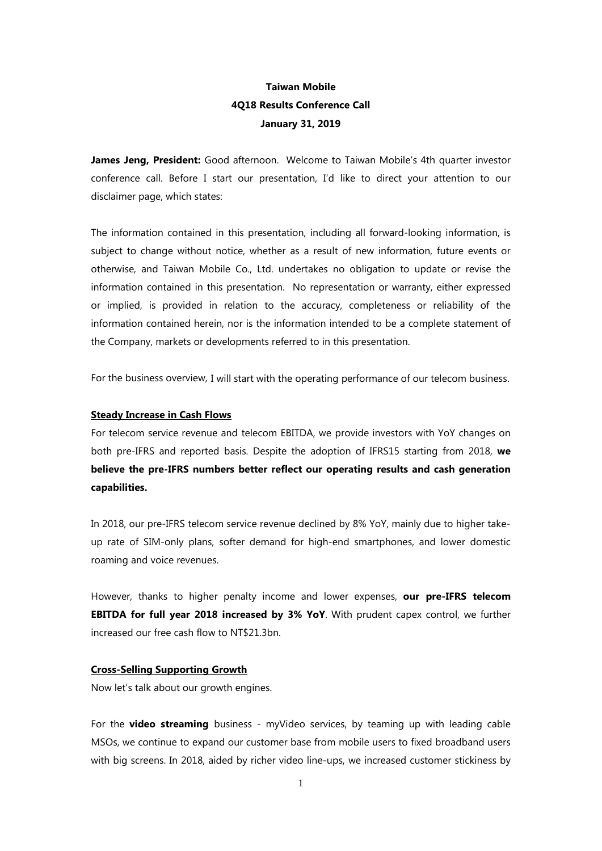# **Taiwan Mobile 4Q18 Results Conference Call January 31, 2019**

James Jeng, President: Good afternoon. Welcome to Taiwan Mobile's 4th quarter investor conference call. Before I start our presentation, I'd like to direct your attention to our disclaimer page, which states:

The information contained in this presentation, including all forward-looking information, is subject to change without notice, whether as a result of new information, future events or otherwise, and Taiwan Mobile Co., Ltd. undertakes no obligation to update or revise the information contained in this presentation. No representation or warranty, either expressed or implied, is provided in relation to the accuracy, completeness or reliability of the information contained herein, nor is the information intended to be a complete statement of the Company, markets or developments referred to in this presentation.

For the business overview, I will start with the operating performance of our telecom business.

### **Steady Increase in Cash Flows**

For telecom service revenue and telecom EBITDA, we provide investors with YoY changes on both pre-IFRS and reported basis. Despite the adoption of IFRS15 starting from 2018, **we believe the pre-IFRS numbers better reflect our operating results and cash generation capabilities.** 

In 2018, our pre-IFRS telecom service revenue declined by 8% YoY, mainly due to higher takeup rate of SIM-only plans, softer demand for high-end smartphones, and lower domestic roaming and voice revenues.

However, thanks to higher penalty income and lower expenses, **our pre-IFRS telecom EBITDA for full year 2018 increased by 3% YoY**. With prudent capex control, we further increased our free cash flow to NT\$21.3bn.

## **Cross-Selling Supporting Growth**

Now let's talk about our growth engines.

For the **video streaming** business - myVideo services, by teaming up with leading cable MSOs, we continue to expand our customer base from mobile users to fixed broadband users with big screens. In 2018, aided by richer video line-ups, we increased customer stickiness by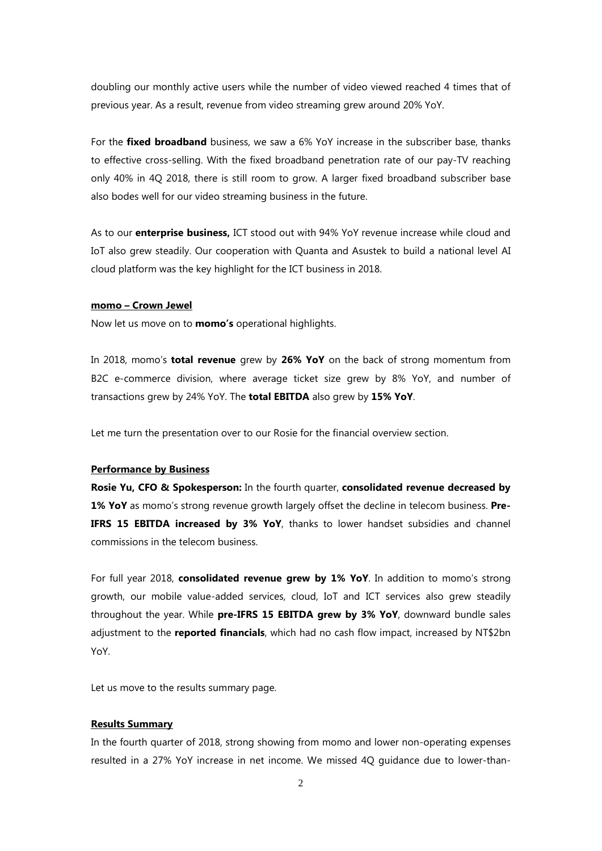doubling our monthly active users while the number of video viewed reached 4 times that of previous year. As a result, revenue from video streaming grew around 20% YoY.

For the **fixed broadband** business, we saw a 6% YoY increase in the subscriber base, thanks to effective cross-selling. With the fixed broadband penetration rate of our pay-TV reaching only 40% in 4Q 2018, there is still room to grow. A larger fixed broadband subscriber base also bodes well for our video streaming business in the future.

As to our **enterprise business,** ICT stood out with 94% YoY revenue increase while cloud and IoT also grew steadily. Our cooperation with Quanta and Asustek to build a national level AI cloud platform was the key highlight for the ICT business in 2018.

### **momo – Crown Jewel**

Now let us move on to **momo's** operational highlights.

In 2018, momo's **total revenue** grew by **26% YoY** on the back of strong momentum from B2C e-commerce division, where average ticket size grew by 8% YoY, and number of transactions grew by 24% YoY. The **total EBITDA** also grew by **15% YoY**.

Let me turn the presentation over to our Rosie for the financial overview section.

## **Performance by Business**

**Rosie Yu, CFO & Spokesperson:** In the fourth quarter, **consolidated revenue decreased by 1% YoY** as momo's strong revenue growth largely offset the decline in telecom business. **Pre-IFRS 15 EBITDA increased by 3% YoY**, thanks to lower handset subsidies and channel commissions in the telecom business.

For full year 2018, **consolidated revenue grew by 1% YoY**. In addition to momo's strong growth, our mobile value-added services, cloud, IoT and ICT services also grew steadily throughout the year. While **pre-IFRS 15 EBITDA grew by 3% YoY**, downward bundle sales adjustment to the **reported financials**, which had no cash flow impact, increased by NT\$2bn YoY.

Let us move to the results summary page.

# **Results Summary**

In the fourth quarter of 2018, strong showing from momo and lower non-operating expenses resulted in a 27% YoY increase in net income. We missed 4Q guidance due to lower-than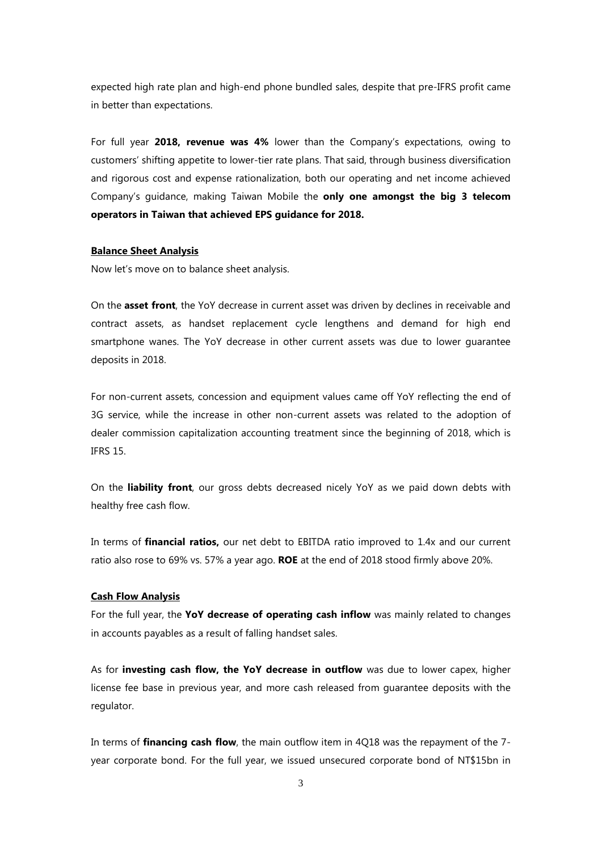expected high rate plan and high-end phone bundled sales, despite that pre-IFRS profit came in better than expectations.

For full year **2018, revenue was 4%** lower than the Company's expectations, owing to customers' shifting appetite to lower-tier rate plans. That said, through business diversification and rigorous cost and expense rationalization, both our operating and net income achieved Company's guidance, making Taiwan Mobile the **only one amongst the big 3 telecom operators in Taiwan that achieved EPS guidance for 2018.**

# **Balance Sheet Analysis**

Now let's move on to balance sheet analysis.

On the **asset front**, the YoY decrease in current asset was driven by declines in receivable and contract assets, as handset replacement cycle lengthens and demand for high end smartphone wanes. The YoY decrease in other current assets was due to lower guarantee deposits in 2018.

For non-current assets, concession and equipment values came off YoY reflecting the end of 3G service, while the increase in other non-current assets was related to the adoption of dealer commission capitalization accounting treatment since the beginning of 2018, which is IFRS 15.

On the **liability front**, our gross debts decreased nicely YoY as we paid down debts with healthy free cash flow.

In terms of **financial ratios,** our net debt to EBITDA ratio improved to 1.4x and our current ratio also rose to 69% vs. 57% a year ago. **ROE** at the end of 2018 stood firmly above 20%.

### **Cash Flow Analysis**

For the full year, the **YoY decrease of operating cash inflow** was mainly related to changes in accounts payables as a result of falling handset sales.

As for **investing cash flow, the YoY decrease in outflow** was due to lower capex, higher license fee base in previous year, and more cash released from guarantee deposits with the regulator.

In terms of **financing cash flow**, the main outflow item in 4Q18 was the repayment of the 7 year corporate bond. For the full year, we issued unsecured corporate bond of NT\$15bn in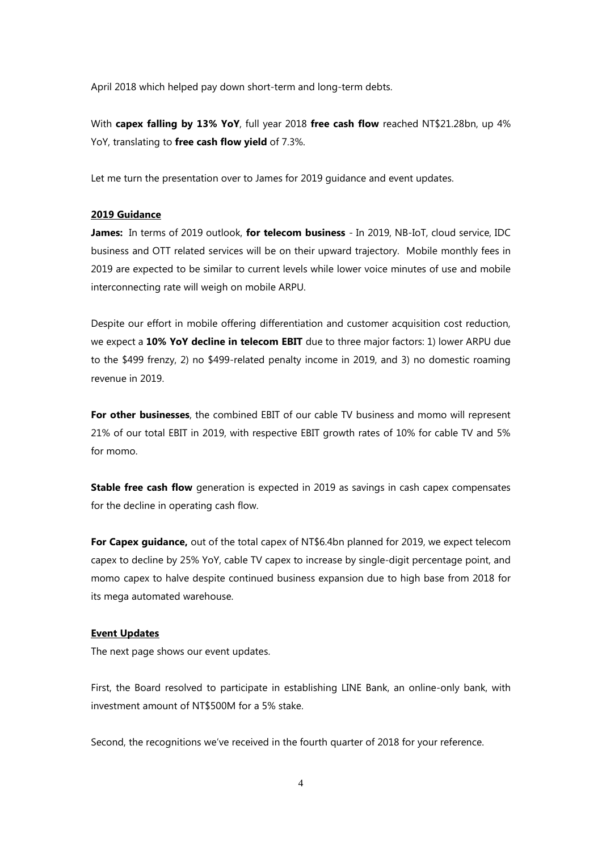April 2018 which helped pay down short-term and long-term debts.

With **capex falling by 13% YoY**, full year 2018 **free cash flow** reached NT\$21.28bn, up 4% YoY, translating to **free cash flow yield** of 7.3%.

Let me turn the presentation over to James for 2019 guidance and event updates.

# **2019 Guidance**

**James:** In terms of 2019 outlook, **for telecom business** - In 2019, NB-IoT, cloud service, IDC business and OTT related services will be on their upward trajectory. Mobile monthly fees in 2019 are expected to be similar to current levels while lower voice minutes of use and mobile interconnecting rate will weigh on mobile ARPU.

Despite our effort in mobile offering differentiation and customer acquisition cost reduction, we expect a **10% YoY decline in telecom EBIT** due to three major factors: 1) lower ARPU due to the \$499 frenzy, 2) no \$499-related penalty income in 2019, and 3) no domestic roaming revenue in 2019.

For other businesses, the combined EBIT of our cable TV business and momo will represent 21% of our total EBIT in 2019, with respective EBIT growth rates of 10% for cable TV and 5% for momo.

**Stable free cash flow** generation is expected in 2019 as savings in cash capex compensates for the decline in operating cash flow.

**For Capex guidance,** out of the total capex of NT\$6.4bn planned for 2019, we expect telecom capex to decline by 25% YoY, cable TV capex to increase by single-digit percentage point, and momo capex to halve despite continued business expansion due to high base from 2018 for its mega automated warehouse.

#### **Event Updates**

The next page shows our event updates.

First, the Board resolved to participate in establishing LINE Bank, an online-only bank, with investment amount of NT\$500M for a 5% stake.

Second, the recognitions we've received in the fourth quarter of 2018 for your reference.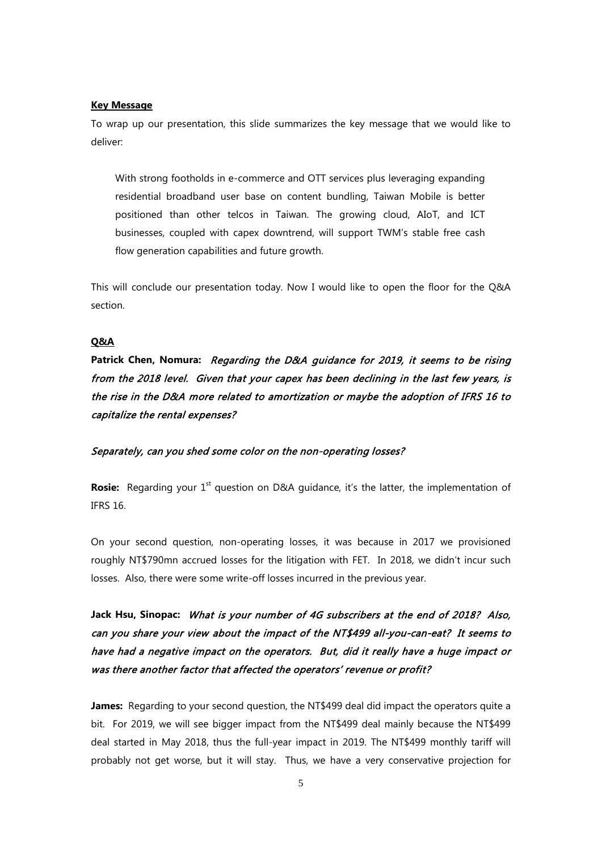### **Key Message**

To wrap up our presentation, this slide summarizes the key message that we would like to deliver:

With strong footholds in e-commerce and OTT services plus leveraging expanding residential broadband user base on content bundling, Taiwan Mobile is better positioned than other telcos in Taiwan. The growing cloud, AIoT, and ICT businesses, coupled with capex downtrend, will support TWM's stable free cash flow generation capabilities and future growth.

This will conclude our presentation today. Now I would like to open the floor for the Q&A section.

# **Q&A**

**Patrick Chen, Nomura:** Regarding the D&A guidance for 2019, it seems to be rising from the 2018 level. Given that your capex has been declining in the last few years, is the rise in the D&A more related to amortization or maybe the adoption of IFRS 16 to capitalize the rental expenses?

### Separately, can you shed some color on the non-operating losses?

**Rosie:** Regarding your 1<sup>st</sup> question on D&A guidance, it's the latter, the implementation of IFRS 16.

On your second question, non-operating losses, it was because in 2017 we provisioned roughly NT\$790mn accrued losses for the litigation with FET. In 2018, we didn't incur such losses. Also, there were some write-off losses incurred in the previous year.

**Jack Hsu, Sinopac:** What is your number of 4G subscribers at the end of 2018? Also, can you share your view about the impact of the NT\$499 all-you-can-eat? It seems to have had a negative impact on the operators. But, did it really have a huge impact or was there another factor that affected the operators' revenue or profit?

**James:** Regarding to your second question, the NT\$499 deal did impact the operators quite a bit. For 2019, we will see bigger impact from the NT\$499 deal mainly because the NT\$499 deal started in May 2018, thus the full-year impact in 2019. The NT\$499 monthly tariff will probably not get worse, but it will stay. Thus, we have a very conservative projection for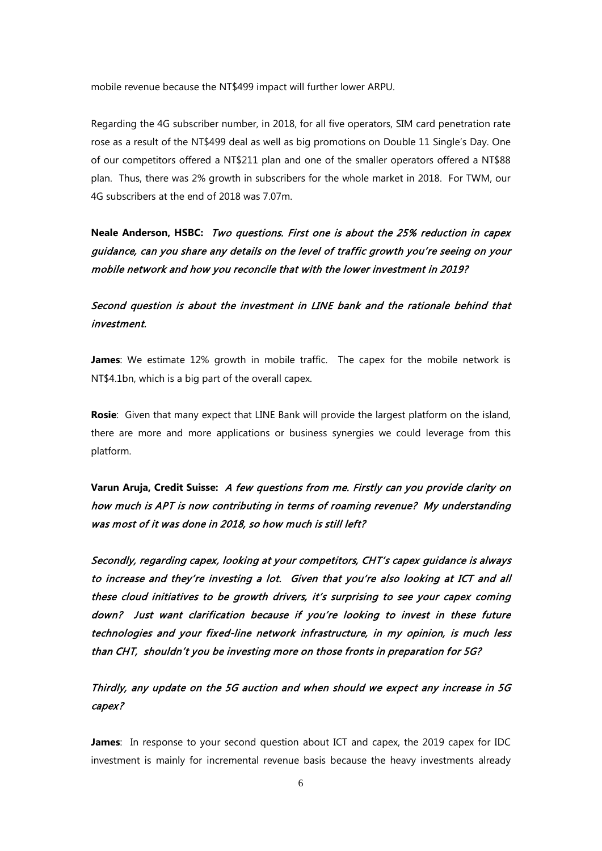mobile revenue because the NT\$499 impact will further lower ARPU.

Regarding the 4G subscriber number, in 2018, for all five operators, SIM card penetration rate rose as a result of the NT\$499 deal as well as big promotions on Double 11 Single's Day. One of our competitors offered a NT\$211 plan and one of the smaller operators offered a NT\$88 plan. Thus, there was 2% growth in subscribers for the whole market in 2018. For TWM, our 4G subscribers at the end of 2018 was 7.07m.

**Neale Anderson, HSBC:** Two questions. First one is about the 25% reduction in capex guidance, can you share any details on the level of traffic growth you're seeing on your mobile network and how you reconcile that with the lower investment in 2019?

# Second question is about the investment in LINE bank and the rationale behind that investment.

**James**: We estimate 12% growth in mobile traffic. The capex for the mobile network is NT\$4.1bn, which is a big part of the overall capex.

**Rosie**: Given that many expect that LINE Bank will provide the largest platform on the island, there are more and more applications or business synergies we could leverage from this platform.

**Varun Aruja, Credit Suisse:** A few questions from me. Firstly can you provide clarity on how much is APT is now contributing in terms of roaming revenue? My understanding was most of it was done in 2018, so how much is still left?

Secondly, regarding capex, looking at your competitors, CHT's capex guidance is always to increase and they're investing a lot. Given that you're also looking at ICT and all these cloud initiatives to be growth drivers, it's surprising to see your capex coming down? Just want clarification because if you're looking to invest in these future technologies and your fixed-line network infrastructure, in my opinion, is much less than CHT, shouldn't you be investing more on those fronts in preparation for 5G?

Thirdly, any update on the 5G auction and when should we expect any increase in 5G capex?

**James**: In response to your second question about ICT and capex, the 2019 capex for IDC investment is mainly for incremental revenue basis because the heavy investments already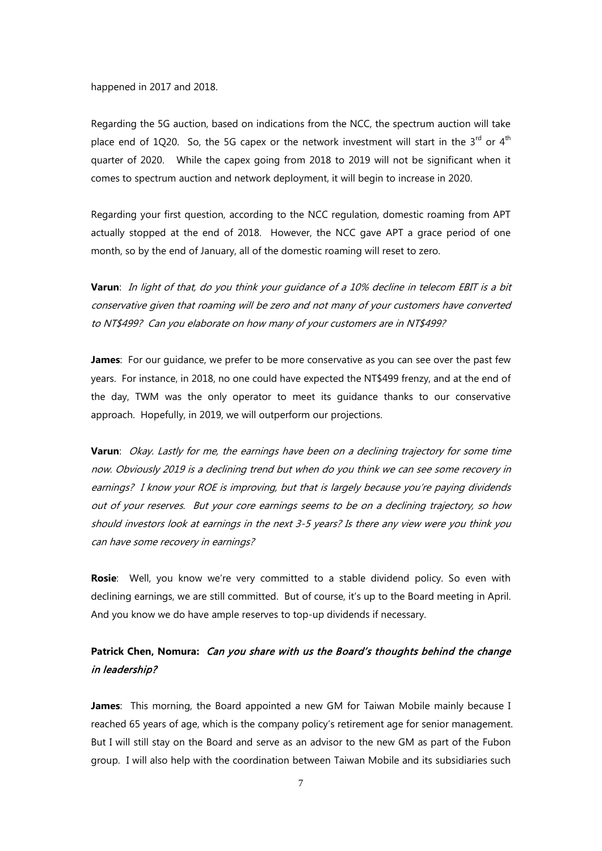happened in 2017 and 2018.

Regarding the 5G auction, based on indications from the NCC, the spectrum auction will take place end of 1Q20. So, the 5G capex or the network investment will start in the  $3^{rd}$  or  $4^{th}$ quarter of 2020. While the capex going from 2018 to 2019 will not be significant when it comes to spectrum auction and network deployment, it will begin to increase in 2020.

Regarding your first question, according to the NCC regulation, domestic roaming from APT actually stopped at the end of 2018. However, the NCC gave APT a grace period of one month, so by the end of January, all of the domestic roaming will reset to zero.

**Varun**: In light of that, do you think your guidance of a 10% decline in telecom EBIT is a bit conservative given that roaming will be zero and not many of your customers have converted to NT\$499? Can you elaborate on how many of your customers are in NT\$499?

**James**: For our guidance, we prefer to be more conservative as you can see over the past few years. For instance, in 2018, no one could have expected the NT\$499 frenzy, and at the end of the day, TWM was the only operator to meet its guidance thanks to our conservative approach. Hopefully, in 2019, we will outperform our projections.

**Varun**: Okay. Lastly for me, the earnings have been on a declining trajectory for some time now. Obviously 2019 is a declining trend but when do you think we can see some recovery in earnings? I know your ROE is improving, but that is largely because you're paying dividends out of your reserves. But your core earnings seems to be on a declining trajectory, so how should investors look at earnings in the next 3-5 years? Is there any view were you think you can have some recovery in earnings?

**Rosie**: Well, you know we're very committed to a stable dividend policy. So even with declining earnings, we are still committed. But of course, it's up to the Board meeting in April. And you know we do have ample reserves to top-up dividends if necessary.

# **Patrick Chen, Nomura:** Can you share with us the Board's thoughts behind the change in leadership?

**James**: This morning, the Board appointed a new GM for Taiwan Mobile mainly because I reached 65 years of age, which is the company policy's retirement age for senior management. But I will still stay on the Board and serve as an advisor to the new GM as part of the Fubon group. I will also help with the coordination between Taiwan Mobile and its subsidiaries such